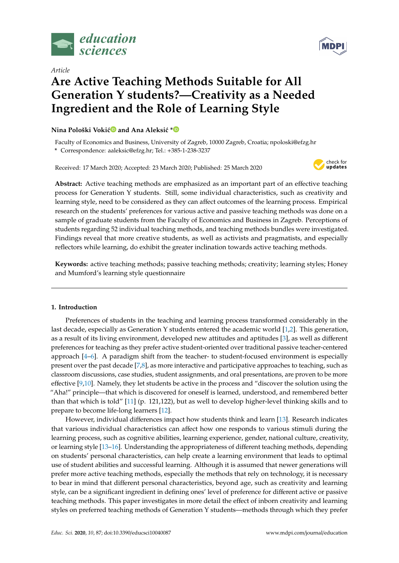

*Article*

# **Are Active Teaching Methods Suitable for All Generation Y students?—Creativity as a Needed Ingredient and the Role of Learning Style**

# **Nina Pološki Vokić<sup>®</sup> and Ana Aleksić [\\*](https://orcid.org/0000-0002-9702-6703)<sup>®</sup>**

Faculty of Economics and Business, University of Zagreb, 10000 Zagreb, Croatia; npoloski@efzg.hr **\*** Correspondence: aaleksic@efzg.hr; Tel.: +385-1-238-3237

Received: 17 March 2020; Accepted: 23 March 2020; Published: 25 March 2020



**Abstract:** Active teaching methods are emphasized as an important part of an effective teaching process for Generation Y students. Still, some individual characteristics, such as creativity and learning style, need to be considered as they can affect outcomes of the learning process. Empirical research on the students' preferences for various active and passive teaching methods was done on a sample of graduate students from the Faculty of Economics and Business in Zagreb. Perceptions of students regarding 52 individual teaching methods, and teaching methods bundles were investigated. Findings reveal that more creative students, as well as activists and pragmatists, and especially reflectors while learning, do exhibit the greater inclination towards active teaching methods.

**Keywords:** active teaching methods; passive teaching methods; creativity; learning styles; Honey and Mumford's learning style questionnaire

# **1. Introduction**

Preferences of students in the teaching and learning process transformed considerably in the last decade, especially as Generation Y students entered the academic world [\[1,](#page-10-0)[2\]](#page-10-1). This generation, as a result of its living environment, developed new attitudes and aptitudes [\[3\]](#page-10-2), as well as different preferences for teaching as they prefer active student-oriented over traditional passive teacher-centered approach [\[4](#page-10-3)[–6\]](#page-10-4). A paradigm shift from the teacher- to student-focused environment is especially present over the past decade [\[7](#page-10-5)[,8\]](#page-10-6), as more interactive and participative approaches to teaching, such as classroom discussions, case studies, student assignments, and oral presentations, are proven to be more effective [\[9](#page-10-7)[,10\]](#page-10-8). Namely, they let students be active in the process and "discover the solution using the "Aha!" principle—that which is discovered for oneself is learned, understood, and remembered better than that which is told" [\[11\]](#page-10-9) (p. 121,122), but as well to develop higher-level thinking skills and to prepare to become life-long learners [\[12\]](#page-10-10).

However, individual differences impact how students think and learn [\[13\]](#page-10-11). Research indicates that various individual characteristics can affect how one responds to various stimuli during the learning process, such as cognitive abilities, learning experience, gender, national culture, creativity, or learning style [\[13–](#page-10-11)[16\]](#page-10-12). Understanding the appropriateness of different teaching methods, depending on students' personal characteristics, can help create a learning environment that leads to optimal use of student abilities and successful learning. Although it is assumed that newer generations will prefer more active teaching methods, especially the methods that rely on technology, it is necessary to bear in mind that different personal characteristics, beyond age, such as creativity and learning style, can be a significant ingredient in defining ones' level of preference for different active or passive teaching methods. This paper investigates in more detail the effect of inborn creativity and learning styles on preferred teaching methods of Generation Y students—methods through which they prefer

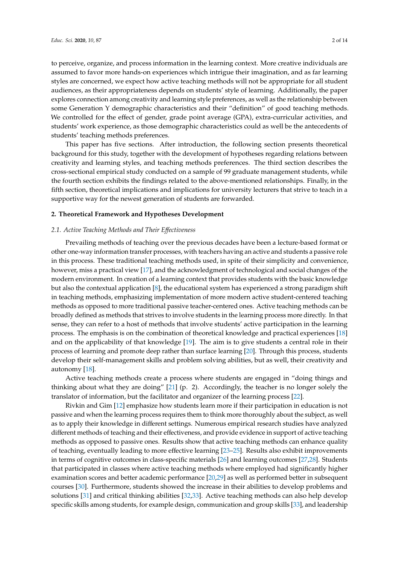to perceive, organize, and process information in the learning context. More creative individuals are assumed to favor more hands-on experiences which intrigue their imagination, and as far learning styles are concerned, we expect how active teaching methods will not be appropriate for all student audiences, as their appropriateness depends on students' style of learning. Additionally, the paper explores connection among creativity and learning style preferences, as well as the relationship between some Generation Y demographic characteristics and their "definition" of good teaching methods. We controlled for the effect of gender, grade point average (GPA), extra-curricular activities, and students' work experience, as those demographic characteristics could as well be the antecedents of students' teaching methods preferences.

This paper has five sections. After introduction, the following section presents theoretical background for this study, together with the development of hypotheses regarding relations between creativity and learning styles, and teaching methods preferences. The third section describes the cross-sectional empirical study conducted on a sample of 99 graduate management students, while the fourth section exhibits the findings related to the above-mentioned relationships. Finally, in the fifth section, theoretical implications and implications for university lecturers that strive to teach in a supportive way for the newest generation of students are forwarded.

## **2. Theoretical Framework and Hypotheses Development**

## *2.1. Active Teaching Methods and Their E*ff*ectiveness*

Prevailing methods of teaching over the previous decades have been a lecture-based format or other one-way information transfer processes, with teachers having an active and students a passive role in this process. These traditional teaching methods used, in spite of their simplicity and convenience, however, miss a practical view [\[17\]](#page-10-13), and the acknowledgment of technological and social changes of the modern environment. In creation of a learning context that provides students with the basic knowledge but also the contextual application [\[8\]](#page-10-6), the educational system has experienced a strong paradigm shift in teaching methods, emphasizing implementation of more modern active student-centered teaching methods as opposed to more traditional passive teacher-centered ones. Active teaching methods can be broadly defined as methods that strives to involve students in the learning process more directly. In that sense, they can refer to a host of methods that involve students' active participation in the learning process. The emphasis is on the combination of theoretical knowledge and practical experiences [\[18\]](#page-10-14) and on the applicability of that knowledge [\[19\]](#page-10-15). The aim is to give students a central role in their process of learning and promote deep rather than surface learning [\[20\]](#page-10-16). Through this process, students develop their self-management skills and problem solving abilities, but as well, their creativity and autonomy [\[18\]](#page-10-14).

Active teaching methods create a process where students are engaged in "doing things and thinking about what they are doing" [\[21\]](#page-10-17) (p. 2). Accordingly, the teacher is no longer solely the translator of information, but the facilitator and organizer of the learning process [\[22\]](#page-10-18).

Rivkin and Gim [\[12\]](#page-10-10) emphasize how students learn more if their participation in education is not passive and when the learning process requires them to think more thoroughly about the subject, as well as to apply their knowledge in different settings. Numerous empirical research studies have analyzed different methods of teaching and their effectiveness, and provide evidence in support of active teaching methods as opposed to passive ones. Results show that active teaching methods can enhance quality of teaching, eventually leading to more effective learning [\[23–](#page-10-19)[25\]](#page-11-0). Results also exhibit improvements in terms of cognitive outcomes in class-specific materials [\[26\]](#page-11-1) and learning outcomes [\[27](#page-11-2)[,28\]](#page-11-3). Students that participated in classes where active teaching methods where employed had significantly higher examination scores and better academic performance [\[20,](#page-10-16)[29\]](#page-11-4) as well as performed better in subsequent courses [\[30\]](#page-11-5). Furthermore, students showed the increase in their abilities to develop problems and solutions [\[31\]](#page-11-6) and critical thinking abilities [\[32](#page-11-7)[,33\]](#page-11-8). Active teaching methods can also help develop specific skills among students, for example design, communication and group skills [\[33\]](#page-11-8), and leadership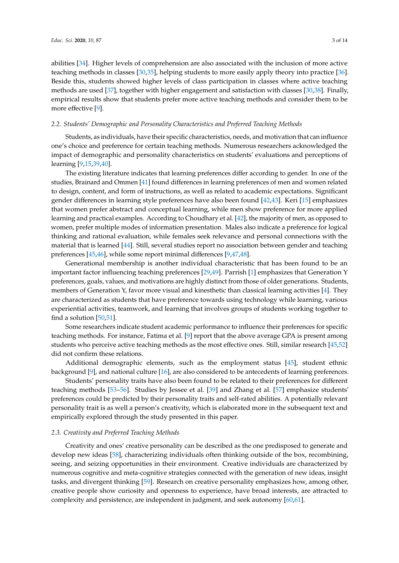abilities [\[34\]](#page-11-9). Higher levels of comprehension are also associated with the inclusion of more active teaching methods in classes [\[30,](#page-11-5)[35\]](#page-11-10), helping students to more easily apply theory into practice [\[36\]](#page-11-11). Beside this, students showed higher levels of class participation in classes where active teaching methods are used [\[37\]](#page-11-12), together with higher engagement and satisfaction with classes [\[30](#page-11-5)[,38\]](#page-11-13). Finally, empirical results show that students prefer more active teaching methods and consider them to be more effective [\[9\]](#page-10-7).

## *2.2. Students' Demographic and Personality Characteristics and Preferred Teaching Methods*

Students, as individuals, have their specific characteristics, needs, and motivation that can influence one's choice and preference for certain teaching methods. Numerous researchers acknowledged the impact of demographic and personality characteristics on students' evaluations and perceptions of learning [\[9](#page-10-7)[,15](#page-10-20)[,39](#page-11-14)[,40\]](#page-11-15).

The existing literature indicates that learning preferences differ according to gender. In one of the studies, Brainard and Ommen [\[41\]](#page-11-16) found differences in learning preferences of men and women related to design, content, and form of instructions, as well as related to academic expectations. Significant gender differences in learning style preferences have also been found [\[42](#page-11-17)[,43\]](#page-11-18). Keri [\[15\]](#page-10-20) emphasizes that women prefer abstract and conceptual learning, while men show preference for more applied learning and practical examples. According to Choudhary et al. [\[42\]](#page-11-17), the majority of men, as opposed to women, prefer multiple modes of information presentation. Males also indicate a preference for logical thinking and rational evaluation, while females seek relevance and personal connections with the material that is learned [\[44\]](#page-11-19). Still, several studies report no association between gender and teaching preferences [\[45](#page-11-20)[,46\]](#page-11-21), while some report minimal differences [\[9,](#page-10-7)[47](#page-11-22)[,48\]](#page-11-23).

Generational membership is another individual characteristic that has been found to be an important factor influencing teaching preferences [\[29,](#page-11-4)[49\]](#page-11-24). Parrish [\[1\]](#page-10-0) emphasizes that Generation Y preferences, goals, values, and motivations are highly distinct from those of older generations. Students, members of Generation Y, favor more visual and kinesthetic than classical learning activities [\[4\]](#page-10-3). They are characterized as students that have preference towards using technology while learning, various experiential activities, teamwork, and learning that involves groups of students working together to find a solution [\[50,](#page-12-0)[51\]](#page-12-1).

Some researchers indicate student academic performance to influence their preferences for specific teaching methods. For instance, Fatima et al. [\[9\]](#page-10-7) report that the above average GPA is present among students who perceive active teaching methods as the most effective ones. Still, similar research [\[45,](#page-11-20)[52\]](#page-12-2) did not confirm these relations.

Additional demographic elements, such as the employment status [\[45\]](#page-11-20), student ethnic background [\[9\]](#page-10-7), and national culture [\[16\]](#page-10-12), are also considered to be antecedents of learning preferences.

Students' personality traits have also been found to be related to their preferences for different teaching methods [\[53](#page-12-3)[–56\]](#page-12-4). Studies by Jessee et al. [\[39\]](#page-11-14) and Zhang et al. [\[57\]](#page-12-5) emphasize students' preferences could be predicted by their personality traits and self-rated abilities. A potentially relevant personality trait is as well a person's creativity, which is elaborated more in the subsequent text and empirically explored through the study presented in this paper.

#### *2.3. Creativity and Preferred Teaching Methods*

Creativity and ones' creative personality can be described as the one predisposed to generate and develop new ideas [\[58\]](#page-12-6), characterizing individuals often thinking outside of the box, recombining, seeing, and seizing opportunities in their environment. Creative individuals are characterized by numerous cognitive and meta-cognitive strategies connected with the generation of new ideas, insight tasks, and divergent thinking [\[59\]](#page-12-7). Research on creative personality emphasizes how, among other, creative people show curiosity and openness to experience, have broad interests, are attracted to complexity and persistence, are independent in judgment, and seek autonomy [\[60](#page-12-8)[,61\]](#page-12-9).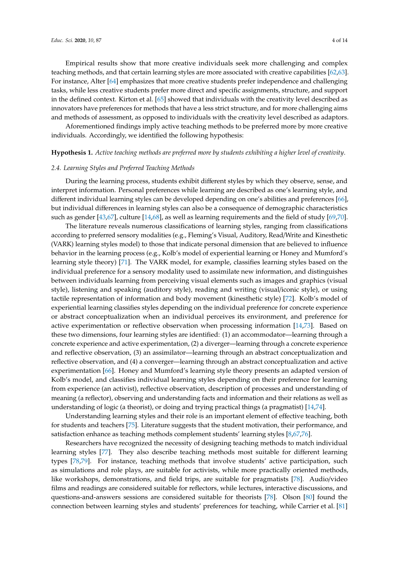Empirical results show that more creative individuals seek more challenging and complex teaching methods, and that certain learning styles are more associated with creative capabilities [\[62](#page-12-10)[,63\]](#page-12-11). For instance, Alter [\[64\]](#page-12-12) emphasizes that more creative students prefer independence and challenging tasks, while less creative students prefer more direct and specific assignments, structure, and support in the defined context. Kirton et al. [\[65\]](#page-12-13) showed that individuals with the creativity level described as innovators have preferences for methods that have a less strict structure, and for more challenging aims and methods of assessment, as opposed to individuals with the creativity level described as adaptors.

Aforementioned findings imply active teaching methods to be preferred more by more creative individuals. Accordingly, we identified the following hypothesis:

#### **Hypothesis 1.** *Active teaching methods are preferred more by students exhibiting a higher level of creativity*.

#### *2.4. Learning Styles and Preferred Teaching Methods*

During the learning process, students exhibit different styles by which they observe, sense, and interpret information. Personal preferences while learning are described as one's learning style, and different individual learning styles can be developed depending on one's abilities and preferences [\[66\]](#page-12-14), but individual differences in learning styles can also be a consequence of demographic characteristics such as gender [\[43](#page-11-18)[,67\]](#page-12-15), culture [\[14](#page-10-21)[,68\]](#page-12-16), as well as learning requirements and the field of study [\[69,](#page-12-17)[70\]](#page-12-18).

The literature reveals numerous classifications of learning styles, ranging from classifications according to preferred sensory modalities (e.g., Fleming's Visual, Auditory, Read/Write and Kinesthetic (VARK) learning styles model) to those that indicate personal dimension that are believed to influence behavior in the learning process (e.g., Kolb's model of experiential learning or Honey and Mumford's learning style theory) [\[71\]](#page-12-19). The VARK model, for example, classifies learning styles based on the individual preference for a sensory modality used to assimilate new information, and distinguishes between individuals learning from perceiving visual elements such as images and graphics (visual style), listening and speaking (auditory style), reading and writing (visual/iconic style), or using tactile representation of information and body movement (kinesthetic style) [\[72\]](#page-12-20). Kolb's model of experiential learning classifies styles depending on the individual preference for concrete experience or abstract conceptualization when an individual perceives its environment, and preference for active experimentation or reflective observation when processing information [\[14,](#page-10-21)[73\]](#page-12-21). Based on these two dimensions, four learning styles are identified: (1) an accommodator—learning through a concrete experience and active experimentation, (2) a diverger—learning through a concrete experience and reflective observation, (3) an assimilator—learning through an abstract conceptualization and reflective observation, and (4) a converger—learning through an abstract conceptualization and active experimentation [\[66\]](#page-12-14). Honey and Mumford's learning style theory presents an adapted version of Kolb's model, and classifies individual learning styles depending on their preference for learning from experience (an activist), reflective observation, description of processes and understanding of meaning (a reflector), observing and understanding facts and information and their relations as well as understanding of logic (a theorist), or doing and trying practical things (a pragmatist) [\[14,](#page-10-21)[74\]](#page-12-22).

Understanding learning styles and their role is an important element of effective teaching, both for students and teachers [\[75\]](#page-12-23). Literature suggests that the student motivation, their performance, and satisfaction enhance as teaching methods complement students' learning styles [\[8,](#page-10-6)[67,](#page-12-15)[76\]](#page-12-24).

Researchers have recognized the necessity of designing teaching methods to match individual learning styles [\[77\]](#page-12-25). They also describe teaching methods most suitable for different learning types [\[78](#page-13-0)[,79\]](#page-13-1). For instance, teaching methods that involve students' active participation, such as simulations and role plays, are suitable for activists, while more practically oriented methods, like workshops, demonstrations, and field trips, are suitable for pragmatists [\[78\]](#page-13-0). Audio/video films and readings are considered suitable for reflectors, while lectures, interactive discussions, and questions-and-answers sessions are considered suitable for theorists [\[78\]](#page-13-0). Olson [\[80\]](#page-13-2) found the connection between learning styles and students' preferences for teaching, while Carrier et al. [\[81\]](#page-13-3)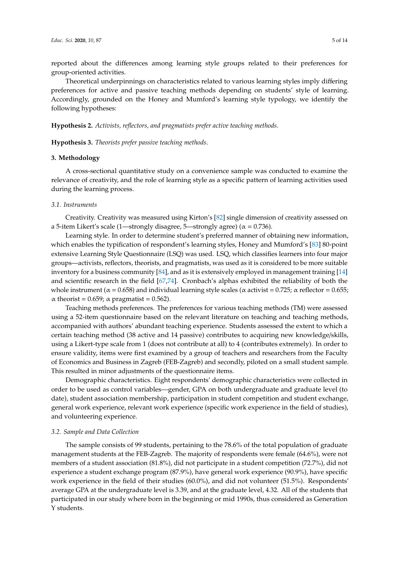reported about the differences among learning style groups related to their preferences for group-oriented activities.

Theoretical underpinnings on characteristics related to various learning styles imply differing preferences for active and passive teaching methods depending on students' style of learning. Accordingly, grounded on the Honey and Mumford's learning style typology, we identify the following hypotheses:

**Hypothesis 2.** *Activists, reflectors, and pragmatists prefer active teaching methods*.

**Hypothesis 3.** *Theorists prefer passive teaching methods*.

## **3. Methodology**

A cross-sectional quantitative study on a convenience sample was conducted to examine the relevance of creativity, and the role of learning style as a specific pattern of learning activities used during the learning process.

### *3.1. Instruments*

Creativity. Creativity was measured using Kirton's [\[82\]](#page-13-4) single dimension of creativity assessed on a 5-item Likert's scale (1—strongly disagree, 5—strongly agree) ( $\alpha$  = 0.736).

Learning style. In order to determine student's preferred manner of obtaining new information, which enables the typification of respondent's learning styles, Honey and Mumford's [\[83\]](#page-13-5) 80-point extensive Learning Style Questionnaire (LSQ) was used. LSQ, which classifies learners into four major groups—activists, reflectors, theorists, and pragmatists, was used as it is considered to be more suitable inventory for a business community [\[84\]](#page-13-6), and as it is extensively employed in management training [\[14\]](#page-10-21) and scientific research in the field [\[67](#page-12-15)[,74\]](#page-12-22). Cronbach's alphas exhibited the reliability of both the whole instrument ( $\alpha$  = 0.658) and individual learning style scales ( $\alpha$  activist = 0.725;  $\alpha$  reflector = 0.655;  $\alpha$  theorist = 0.659;  $\alpha$  pragmatist = 0.562).

Teaching methods preferences. The preferences for various teaching methods (TM) were assessed using a 52-item questionnaire based on the relevant literature on teaching and teaching methods, accompanied with authors' abundant teaching experience. Students assessed the extent to which a certain teaching method (38 active and 14 passive) contributes to acquiring new knowledge/skills, using a Likert-type scale from 1 (does not contribute at all) to 4 (contributes extremely). In order to ensure validity, items were first examined by a group of teachers and researchers from the Faculty of Economics and Business in Zagreb (FEB-Zagreb) and secondly, piloted on a small student sample. This resulted in minor adjustments of the questionnaire items.

Demographic characteristics. Eight respondents' demographic characteristics were collected in order to be used as control variables—gender, GPA on both undergraduate and graduate level (to date), student association membership, participation in student competition and student exchange, general work experience, relevant work experience (specific work experience in the field of studies), and volunteering experience.

#### *3.2. Sample and Data Collection*

The sample consists of 99 students, pertaining to the 78.6% of the total population of graduate management students at the FEB-Zagreb. The majority of respondents were female (64.6%), were not members of a student association (81.8%), did not participate in a student competition (72.7%), did not experience a student exchange program (87.9%), have general work experience (90.9%), have specific work experience in the field of their studies (60.0%), and did not volunteer (51.5%). Respondents' average GPA at the undergraduate level is 3.39, and at the graduate level, 4.32. All of the students that participated in our study where born in the beginning or mid 1990s, thus considered as Generation Y students.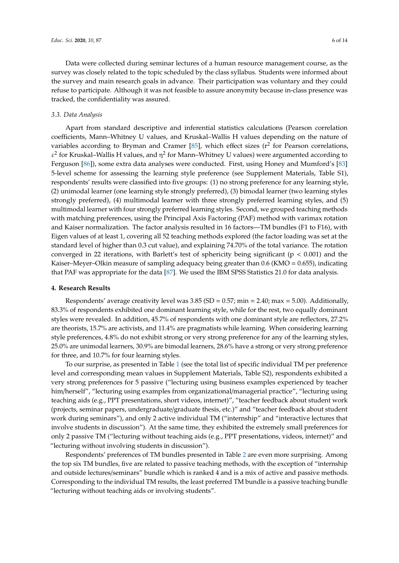Data were collected during seminar lectures of a human resource management course, as the survey was closely related to the topic scheduled by the class syllabus. Students were informed about the survey and main research goals in advance. Their participation was voluntary and they could refuse to participate. Although it was not feasible to assure anonymity because in-class presence was tracked, the confidentiality was assured.

### *3.3. Data Analysis*

Apart from standard descriptive and inferential statistics calculations (Pearson correlation coefficients, Mann–Whitney U values, and Kruskal–Wallis H values depending on the nature of variables according to Bryman and Cramer [\[85\]](#page-13-7), which effect sizes ( $r^2$  for Pearson correlations,  $\varepsilon^2$  for Kruskal–Wallis H values, and  $\eta^2$  for Mann–Whitney U values) were argumented according to Ferguson [\[86\]](#page-13-8)), some extra data analyses were conducted. First, using Honey and Mumford's [\[83\]](#page-13-5) 5-level scheme for assessing the learning style preference (see Supplement Materials, Table S1), respondents' results were classified into five groups: (1) no strong preference for any learning style, (2) unimodal learner (one learning style strongly preferred), (3) bimodal learner (two learning styles strongly preferred), (4) multimodal learner with three strongly preferred learning styles, and (5) multimodal learner with four strongly preferred learning styles. Second, we grouped teaching methods with matching preferences, using the Principal Axis Factoring (PAF) method with varimax rotation and Kaiser normalization. The factor analysis resulted in 16 factors—TM bundles (F1 to F16), with Eigen values of at least 1, covering all 52 teaching methods explored (the factor loading was set at the standard level of higher than 0.3 cut value), and explaining 74.70% of the total variance. The rotation converged in 22 iterations, with Barlett's test of sphericity being significant ( $p < 0.001$ ) and the Kaiser–Meyer–Olkin measure of sampling adequacy being greater than 0.6 (KMO = 0.655), indicating that PAF was appropriate for the data [\[87\]](#page-13-9). We used the IBM SPSS Statistics 21.0 for data analysis.

#### **4. Research Results**

Respondents' average creativity level was  $3.85$  (SD =  $0.57$ ; min = 2.40; max = 5.00). Additionally, 83.3% of respondents exhibited one dominant learning style, while for the rest, two equally dominant styles were revealed. In addition, 45.7% of respondents with one dominant style are reflectors, 27.2% are theorists, 15.7% are activists, and 11.4% are pragmatists while learning. When considering learning style preferences, 4.8% do not exhibit strong or very strong preference for any of the learning styles, 25.0% are unimodal learners, 30.9% are bimodal learners, 28.6% have a strong or very strong preference for three, and 10.7% for four learning styles.

To our surprise, as presented in Table [1](#page-6-0) (see the total list of specific individual TM per preference level and corresponding mean values in Supplement Materials, Table S2), respondents exhibited a very strong preferences for 5 passive ("lecturing using business examples experienced by teacher him/herself", "lecturing using examples from organizational/managerial practice", "lecturing using teaching aids (e.g., PPT presentations, short videos, internet)", "teacher feedback about student work (projects, seminar papers, undergraduate/graduate thesis, etc.)" and "teacher feedback about student work during seminars"), and only 2 active individual TM ("internship" and "interactive lectures that involve students in discussion"). At the same time, they exhibited the extremely small preferences for only 2 passive TM ("lecturing without teaching aids (e.g., PPT presentations, videos, internet)" and "lecturing without involving students in discussion").

Respondents' preferences of TM bundles presented in Table [2](#page-6-1) are even more surprising. Among the top six TM bundles, five are related to passive teaching methods, with the exception of "internship and outside lectures/seminars" bundle which is ranked 4 and is a mix of active and passive methods. Corresponding to the individual TM results, the least preferred TM bundle is a passive teaching bundle "lecturing without teaching aids or involving students".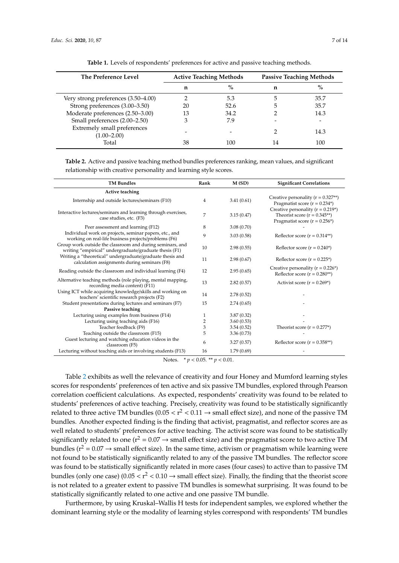<span id="page-6-0"></span>

| The Preference Level                           | <b>Active Teaching Methods</b> |      | <b>Passive Teaching Methods</b> |      |
|------------------------------------------------|--------------------------------|------|---------------------------------|------|
|                                                | n                              | $\%$ | n                               | $\%$ |
| Very strong preferences (3.50–4.00)            |                                | 5.3  |                                 | 35.7 |
| Strong preferences (3.00–3.50)                 | 20                             | 52.6 |                                 | 35.7 |
| Moderate preferences (2.50-3.00)               | 13                             | 34.2 |                                 | 14.3 |
| Small preferences (2.00-2.50)                  |                                | 7.9  |                                 |      |
| Extremely small preferences<br>$(1.00 - 2.00)$ |                                |      |                                 | 14.3 |
| Total                                          | 38                             | 100  |                                 | 100  |

**Table 1.** Levels of respondents' preferences for active and passive teaching methods.

<span id="page-6-1"></span>**Table 2.** Active and passive teaching method bundles preferences ranking, mean values, and significant relationship with creative personality and learning style scores.

| <b>TM Bundles</b>                                                                                                   | Rank | M(SD)      | <b>Significant Correlations</b>                                                                                                      |
|---------------------------------------------------------------------------------------------------------------------|------|------------|--------------------------------------------------------------------------------------------------------------------------------------|
| Active teaching                                                                                                     |      |            |                                                                                                                                      |
| Internship and outside lectures/seminars (F10)                                                                      | 4    | 3.41(0.61) | Creative personality ( $r = 0.327**$ )<br>Pragmatist score ( $r = 0.234$ <sup>*</sup> )                                              |
| Interactive lectures/seminars and learning through exercises,<br>case studies, etc. (F3)                            | 7    | 3.15(0.47) | Creative personality ( $r = 0.219$ <sup>*</sup> )<br>Theorist score $(r = 0.345**)$<br>Pragmatist score ( $r = 0.256$ <sup>*</sup> ) |
| Peer assessment and learning (F12)                                                                                  | 8    | 3.08(0.70) |                                                                                                                                      |
| Individual work on projects, seminar papers, etc., and<br>working on real-life business projects/problems (F6)      | 9    | 3.03(0.58) | Reflector score $(r = 0.314**)$                                                                                                      |
| Group work outside the classroom and during seminars, and<br>writing "empirical" undergraduate/graduate thesis (F1) | 10   | 2.98(0.55) | Reflector score $(r = 0.240^*)$                                                                                                      |
| Writing a "theoretical" undergraduate/graduate thesis and<br>calculation assignments during seminars (F8)           | 11   | 2.98(0.67) | Reflector score $(r = 0.225^*)$                                                                                                      |
| Reading outside the classroom and individual learning (F4)                                                          | 12   | 2.95(0.65) | Creative personality ( $r = 0.226$ *)<br>Reflector score ( $r = 0.280**$ )                                                           |
| Alternative teaching methods (role playing, mental mapping,<br>recording media content) (F11)                       | 13   | 2.82(0.57) | Activist score $(r = 0.269^*)$                                                                                                       |
| Using ICT while acquiring knowledge/skills and working on<br>teachers' scientific research projects (F2)            | 14   | 2.78(0.52) |                                                                                                                                      |
| Student presentations during lectures and seminars (F7)                                                             | 15   | 2.74(0.65) |                                                                                                                                      |
| Passive teaching                                                                                                    |      |            |                                                                                                                                      |
| Lecturing using examples from business (F14)                                                                        | 1    | 3.87(0.32) |                                                                                                                                      |
| Lecturing using teaching aids (F16)                                                                                 | 2    | 3.60(0.53) |                                                                                                                                      |
| Teacher feedback (F9)                                                                                               | 3    | 3.54(0.52) | Theorist score $(r = 0.277*)$                                                                                                        |
| Teaching outside the classroom (F15)                                                                                | 5    | 3.36(0.73) |                                                                                                                                      |
| Guest lecturing and watching education videos in the<br>classroom (F5)                                              | 6    | 3.27(0.57) | Reflector score ( $r = 0.358**$ )                                                                                                    |
| Lecturing without teaching aids or involving students (F13)                                                         | 16   | 1.79(0.69) |                                                                                                                                      |

Notes. \* *p* < 0.05. \*\* *p* < 0.01.

Table [2](#page-6-1) exhibits as well the relevance of creativity and four Honey and Mumford learning styles scores for respondents' preferences of ten active and six passive TM bundles, explored through Pearson correlation coefficient calculations. As expected, respondents' creativity was found to be related to students' preferences of active teaching. Precisely, creativity was found to be statistically significantly related to three active TM bundles  $(0.05 < r^2 < 0.11 \rightarrow$  small effect size), and none of the passive TM bundles. Another expected finding is the finding that activist, pragmatist, and reflector scores are as well related to students' preferences for active teaching. The activist score was found to be statistically significantly related to one ( $r^2 = 0.07 \rightarrow$  small effect size) and the pragmatist score to two active TM bundles ( $r^2 = 0.07 \rightarrow$  small effect size). In the same time, activism or pragmatism while learning were not found to be statistically significantly related to any of the passive TM bundles. The reflector score was found to be statistically significantly related in more cases (four cases) to active than to passive TM bundles (only one case) (0.05  $<$   $r^2$   $<$  0.10  $\rightarrow$  small effect size). Finally, the finding that the theorist score is not related to a greater extent to passive TM bundles is somewhat surprising. It was found to be statistically significantly related to one active and one passive TM bundle.

Furthermore, by using Kruskal–Wallis H tests for independent samples, we explored whether the dominant learning style or the modality of learning styles correspond with respondents' TM bundles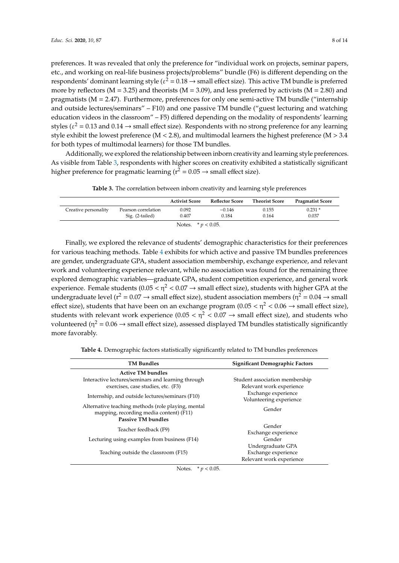preferences. It was revealed that only the preference for "individual work on projects, seminar papers, etc., and working on real-life business projects/problems" bundle (F6) is different depending on the respondents' dominant learning style ( $\varepsilon^2 = 0.18 \rightarrow$  small effect size). This active TM bundle is preferred more by reflectors ( $M = 3.25$ ) and theorists ( $M = 3.09$ ), and less preferred by activists ( $M = 2.80$ ) and pragmatists ( $M = 2.47$ ). Furthermore, preferences for only one semi-active TM bundle ("internship and outside lectures/seminars" – F10) and one passive TM bundle ("guest lecturing and watching education videos in the classroom" – F5) differed depending on the modality of respondents' learning styles ( $\varepsilon^2$  = 0.13 and 0.14  $\rightarrow$  small effect size). Respondents with no strong preference for any learning style exhibit the lowest preference ( $M < 2.8$ ), and multimodal learners the highest preference ( $M > 3.4$ for both types of multimodal learners) for those TM bundles.

Additionally, we explored the relationship between inborn creativity and learning style preferences. As visible from Table [3,](#page-7-0) respondents with higher scores on creativity exhibited a statistically significant higher preference for pragmatic learning ( $r^2 = 0.05 \rightarrow$  small effect size).

<span id="page-7-0"></span>

|                       |                     | <b>Activist Score</b> | <b>Reflector Score</b> | <b>Theorist Score</b> | <b>Pragmatist Score</b> |
|-----------------------|---------------------|-----------------------|------------------------|-----------------------|-------------------------|
| Creative personality  | Pearson correlation | 0.092<br>0.407        | $-0.146$<br>0.184      | 0.155<br>0.164        | $0.231*$<br>0.037       |
|                       | Sig. (2-tailed)     |                       |                        |                       |                         |
| Notes. $* p < 0.05$ . |                     |                       |                        |                       |                         |

**Table 3.** The correlation between inborn creativity and learning style preferences

Finally, we explored the relevance of students' demographic characteristics for their preferences for various teaching methods. Table [4](#page-7-1) exhibits for which active and passive TM bundles preferences are gender, undergraduate GPA, student association membership, exchange experience, and relevant work and volunteering experience relevant, while no association was found for the remaining three explored demographic variables—graduate GPA, student competition experience, and general work experience. Female students ( $0.05 < \eta^2 < 0.07 \rightarrow$  small effect size), students with higher GPA at the undergraduate level ( $r^2 = 0.07 \rightarrow$  small effect size), student association members ( $\eta^2 = 0.04 \rightarrow$  small effect size), students that have been on an exchange program (0.05  $< \eta^2 < 0.06 \rightarrow$  small effect size), students with relevant work experience (0.05  $< \eta^2 < 0.07 \rightarrow$  small effect size), and students who volunteered ( $\eta^2 = 0.06 \rightarrow$  small effect size), assessed displayed TM bundles statistically significantly more favorably.

**Table 4.** Demographic factors statistically significantly related to TM bundles preferences

<span id="page-7-1"></span>

| <b>TM Bundles</b>                                                                                                          | Significant Demographic Factors                                      |  |  |
|----------------------------------------------------------------------------------------------------------------------------|----------------------------------------------------------------------|--|--|
| <b>Active TM bundles</b>                                                                                                   |                                                                      |  |  |
| Interactive lectures/seminars and learning through<br>exercises, case studies, etc. (F3)                                   | Student association membership<br>Relevant work experience           |  |  |
| Internship, and outside lectures/seminars (F10)                                                                            | Exchange experience<br>Volunteering experience                       |  |  |
| Alternative teaching methods (role playing, mental<br>mapping, recording media content) (F11)<br><b>Passive TM bundles</b> | Gender                                                               |  |  |
| Teacher feedback (F9)                                                                                                      | Gender<br>Exchange experience                                        |  |  |
| Lecturing using examples from business (F14)                                                                               | Gender                                                               |  |  |
| Teaching outside the classroom (F15)                                                                                       | Undergraduate GPA<br>Exchange experience<br>Relevant work experience |  |  |

Notes. \* *p* < 0.05.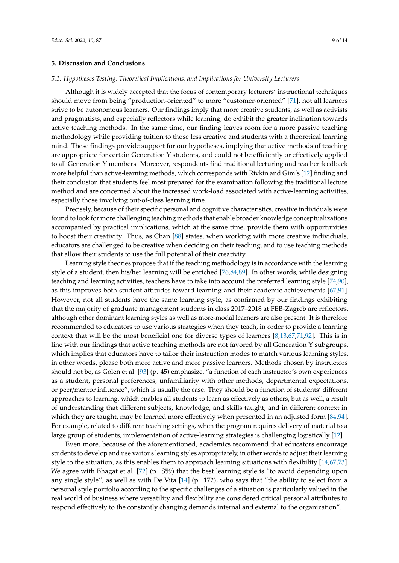### **5. Discussion and Conclusions**

#### *5.1. Hypotheses Testing, Theoretical Implications, and Implications for University Lecturers*

Although it is widely accepted that the focus of contemporary lecturers' instructional techniques should move from being "production-oriented" to more "customer-oriented" [\[71\]](#page-12-19), not all learners strive to be autonomous learners. Our findings imply that more creative students, as well as activists and pragmatists, and especially reflectors while learning, do exhibit the greater inclination towards active teaching methods. In the same time, our finding leaves room for a more passive teaching methodology while providing tuition to those less creative and students with a theoretical learning mind. These findings provide support for our hypotheses, implying that active methods of teaching are appropriate for certain Generation Y students, and could not be efficiently or effectively applied to all Generation Y members. Moreover, respondents find traditional lecturing and teacher feedback more helpful than active-learning methods, which corresponds with Rivkin and Gim's [\[12\]](#page-10-10) finding and their conclusion that students feel most prepared for the examination following the traditional lecture method and are concerned about the increased work-load associated with active-learning activities, especially those involving out-of-class learning time.

Precisely, because of their specific personal and cognitive characteristics, creative individuals were found to look for more challenging teaching methods that enable broader knowledge conceptualizations accompanied by practical implications, which at the same time, provide them with opportunities to boost their creativity. Thus, as Chan [\[88\]](#page-13-10) states, when working with more creative individuals, educators are challenged to be creative when deciding on their teaching, and to use teaching methods that allow their students to use the full potential of their creativity.

Learning style theories propose that if the teaching methodology is in accordance with the learning style of a student, then his/her learning will be enriched [\[76,](#page-12-24)[84,](#page-13-6)[89\]](#page-13-11). In other words, while designing teaching and learning activities, teachers have to take into account the preferred learning style [\[74](#page-12-22)[,90\]](#page-13-12), as this improves both student attitudes toward learning and their academic achievements [\[67,](#page-12-15)[91\]](#page-13-13). However, not all students have the same learning style, as confirmed by our findings exhibiting that the majority of graduate management students in class 2017–2018 at FEB-Zagreb are reflectors, although other dominant learning styles as well as more-modal learners are also present. It is therefore recommended to educators to use various strategies when they teach, in order to provide a learning context that will be the most beneficial one for diverse types of learners [\[8](#page-10-6)[,13](#page-10-11)[,67,](#page-12-15)[71](#page-12-19)[,92\]](#page-13-14). This is in line with our findings that active teaching methods are not favored by all Generation Y subgroups, which implies that educators have to tailor their instruction modes to match various learning styles, in other words, please both more active and more passive learners. Methods chosen by instructors should not be, as Golen et al. [\[93\]](#page-13-15) (p. 45) emphasize, "a function of each instructor's own experiences as a student, personal preferences, unfamiliarity with other methods, departmental expectations, or peer/mentor influence", which is usually the case. They should be a function of students' different approaches to learning, which enables all students to learn as effectively as others, but as well, a result of understanding that different subjects, knowledge, and skills taught, and in different context in which they are taught, may be learned more effectively when presented in an adjusted form [\[84,](#page-13-6)[94\]](#page-13-16). For example, related to different teaching settings, when the program requires delivery of material to a large group of students, implementation of active-learning strategies is challenging logistically [\[12\]](#page-10-10).

Even more, because of the aforementioned, academics recommend that educators encourage students to develop and use various learning styles appropriately, in other words to adjust their learning style to the situation, as this enables them to approach learning situations with flexibility [\[14,](#page-10-21)[67,](#page-12-15)[73\]](#page-12-21). We agree with Bhagat et al. [\[72\]](#page-12-20) (p. S59) that the best learning style is "to avoid depending upon any single style", as well as with De Vita [\[14\]](#page-10-21) (p. 172), who says that "the ability to select from a personal style portfolio according to the specific challenges of a situation is particularly valued in the real world of business where versatility and flexibility are considered critical personal attributes to respond effectively to the constantly changing demands internal and external to the organization".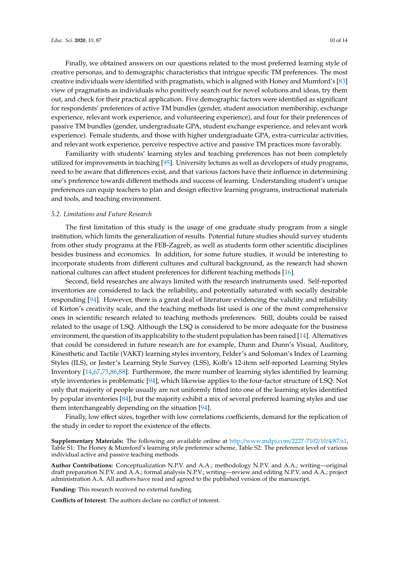Finally, we obtained answers on our questions related to the most preferred learning style of creative personas, and to demographic characteristics that intrigue specific TM preferences. The most creative individuals were identified with pragmatists, which is aligned with Honey and Mumford's [\[83\]](#page-13-5) view of pragmatists as individuals who positively search out for novel solutions and ideas, try them out, and check for their practical application. Five demographic factors were identified as significant for respondents' preferences of active TM bundles (gender, student association membership, exchange experience, relevant work experience, and volunteering experience), and four for their preferences of passive TM bundles (gender, undergraduate GPA, student exchange experience, and relevant work experience). Female students, and those with higher undergraduate GPA, extra-curricular activities, and relevant work experience, perceive respective active and passive TM practices more favorably.

Familiarity with students' learning styles and teaching preferences has not been completely utilized for improvements in teaching [\[95\]](#page-13-17). University lectures as well as developers of study programs, need to be aware that differences exist, and that various factors have their influence in determining one's preference towards different methods and success of learning. Understanding student's unique preferences can equip teachers to plan and design effective learning programs, instructional materials and tools, and teaching environment.

#### *5.2. Limitations and Future Research*

The first limitation of this study is the usage of one graduate study program from a single institution, which limits the generalization of results. Potential future studies should survey students from other study programs at the FEB-Zagreb, as well as students form other scientific disciplines besides business and economics. In addition, for some future studies, it would be interesting to incorporate students from different cultures and cultural background, as the research had shown national cultures can affect student preferences for different teaching methods [\[16\]](#page-10-12).

Second, field researches are always limited with the research instruments used. Self-reported inventories are considered to lack the reliability, and potentially saturated with socially desirable responding [\[94\]](#page-13-16). However, there is a great deal of literature evidencing the validity and reliability of Kirton's creativity scale, and the teaching methods list used is one of the most comprehensive ones in scientific research related to teaching methods preferences. Still, doubts could be raised related to the usage of LSQ. Although the LSQ is considered to be more adequate for the business environment, the question of its applicability to the student population has been raised [\[14\]](#page-10-21). Alternatives that could be considered in future research are for example, Dunn and Dunn's Visual, Auditory, Kinesthetic and Tactile (VAKT) learning styles inventory, Felder's and Soloman's Index of Learning Styles (ILS), or Jester's Learning Style Survey (LSS), Kolb's 12-item self-reported Learning Styles Inventory [\[14,](#page-10-21)[67,](#page-12-15)[73,](#page-12-21)[86,](#page-13-8)[88\]](#page-13-10). Furthermore, the mere number of learning styles identified by learning style inventories is problematic [\[94\]](#page-13-16), which likewise applies to the four-factor structure of LSQ. Not only that majority of people usually are not uniformly fitted into one of the learning styles identified by popular inventories [\[84\]](#page-13-6), but the majority exhibit a mix of several preferred learning styles and use them interchangeably depending on the situation [\[94\]](#page-13-16).

Finally, low effect sizes, together with low correlations coefficients, demand for the replication of the study in order to report the existence of the effects.

**Supplementary Materials:** The following are available online at http://[www.mdpi.com](http://www.mdpi.com/2227-7102/10/4/87/s1)/2227-7102/10/4/87/s1, Table S1: The Honey & Mumford's learning style preference scheme, Table S2: The preference level of various individual active and passive teaching methods.

**Author Contributions:** Conceptualization N.P.V. and A.A.; methodology N.P.V. and A.A.; writing—original draft preparation N.P.V. and A.A.; formal analysis N.P.V.; writing—review and editing N.P.V. and A.A.; project administration A.A. All authors have read and agreed to the published version of the manuscript.

**Funding:** This research received no external funding.

**Conflicts of Interest:** The authors declare no conflict of interest.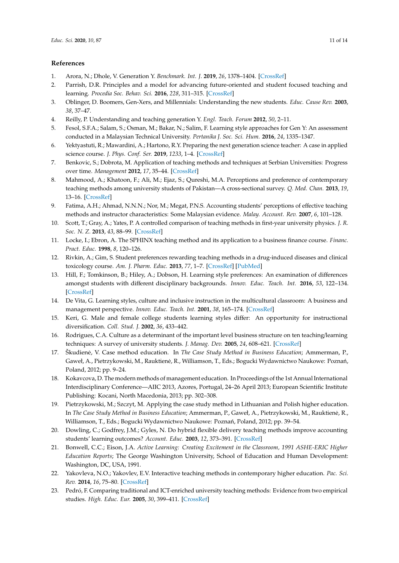## **References**

- <span id="page-10-0"></span>1. Arora, N.; Dhole, V. Generation Y. *Benchmark. Int. J.* **2019**, *26*, 1378–1404. [\[CrossRef\]](http://dx.doi.org/10.1108/BIJ-05-2018-0132)
- <span id="page-10-1"></span>2. Parrish, D.R. Principles and a model for advancing future-oriented and student focused teaching and learning. *Procedia Soc. Behav. Sci.* **2016**, *228*, 311–315. [\[CrossRef\]](http://dx.doi.org/10.1016/j.sbspro.2016.07.046)
- <span id="page-10-2"></span>3. Oblinger, D. Boomers, Gen-Xers, and Millennials: Understanding the new students. *Educ. Cause Rev.* **2003**, *38*, 37–47.
- <span id="page-10-3"></span>4. Reilly, P. Understanding and teaching generation Y. *Engl. Teach. Forum* **2012**, *50*, 2–11.
- 5. Fesol, S.F.A.; Salam, S.; Osman, M.; Bakar, N.; Salim, F. Learning style approaches for Gen Y: An assessment conducted in a Malaysian Technical University. *Pertanika J. Soc. Sci. Hum.* **2016**, *24*, 1335–1347.
- <span id="page-10-4"></span>6. Yektyastuti, R.; Mawardini, A.; Hartono, R.Y. Preparing the next generation science teacher: A case in applied science course. *J. Phys. Conf. Ser.* **2019**, *1233*, 1–4. [\[CrossRef\]](http://dx.doi.org/10.1088/1742-6596/1233/1/012104)
- <span id="page-10-5"></span>7. Benkovic, S.; Dobrota, M. Application of teaching methods and techniques at Serbian Universities: Progress over time. *Management* **2012**, *17*, 35–44. [\[CrossRef\]](http://dx.doi.org/10.7595/management.fon.2012.0007)
- <span id="page-10-6"></span>8. Mahmood, A.; Khatoon, F.; Ali, M.; Ejaz, S.; Qureshi, M.A. Perceptions and preference of contemporary teaching methods among university students of Pakistan—A cross-sectional survey. *Q. Med. Chan.* **2013**, *19*, 13–16. [\[CrossRef\]](http://dx.doi.org/10.9790/1959-0110610)
- <span id="page-10-7"></span>9. Fatima, A.H.; Ahmad, N.N.N.; Nor, M.; Megat, P.N.S. Accounting students' perceptions of effective teaching methods and instructor characteristics: Some Malaysian evidence. *Malay. Account. Rev.* **2007**, *6*, 101–128.
- <span id="page-10-8"></span>10. Scott, T.; Gray, A.; Yates, P. A controlled comparison of teaching methods in first-year university physics. *J. R. Soc. N. Z.* **2013**, *43*, 88–99. [\[CrossRef\]](http://dx.doi.org/10.1080/03036758.2012.658816)
- <span id="page-10-9"></span>11. Locke, I.; Ebron, A. The SPHINX teaching method and its application to a business finance course. *Financ. Pract. Educ.* **1998**, *8*, 120–126.
- <span id="page-10-10"></span>12. Rivkin, A.; Gim, S. Student preferences rewarding teaching methods in a drug-induced diseases and clinical toxicology course. *Am. J. Pharm. Educ.* **2013**, *77*, 1–7. [\[CrossRef\]](http://dx.doi.org/10.5688/ajpe776123) [\[PubMed\]](http://www.ncbi.nlm.nih.gov/pubmed/23966726)
- <span id="page-10-11"></span>13. Hill, F.; Tomkinson, B.; Hiley, A.; Dobson, H. Learning style preferences: An examination of differences amongst students with different disciplinary backgrounds. *Innov. Educ. Teach. Int.* **2016**, *53*, 122–134. [\[CrossRef\]](http://dx.doi.org/10.1080/14703297.2014.961504)
- <span id="page-10-21"></span>14. De Vita, G. Learning styles, culture and inclusive instruction in the multicultural classroom: A business and management perspective. *Innov. Educ. Teach. Int.* **2001**, *38*, 165–174. [\[CrossRef\]](http://dx.doi.org/10.1080/14703290110035437)
- <span id="page-10-20"></span>15. Keri, G. Male and female college students learning styles differ: An opportunity for instructional diversification. *Coll. Stud. J.* **2002**, *36*, 433–442.
- <span id="page-10-12"></span>16. Rodrigues, C.A. Culture as a determinant of the important level business structure on ten teaching/learning techniques: A survey of university students. *J. Manag. Dev.* **2005**, *24*, 608–621. [\[CrossRef\]](http://dx.doi.org/10.1108/02621710510608740)
- <span id="page-10-13"></span>17. Škudiene, V. Case method education. In ˙ *The Case Study Method in Business Education*; Ammerman, P., Gaweł, A., Pietrzykowski, M., Rauktienė, R., Williamson, T., Eds.; Bogucki Wydawnictwo Naukowe: Poznań, Poland, 2012; pp. 9–24.
- <span id="page-10-14"></span>18. Kokavcova, D. The modern methods of management education. In Proceedings of the 1st Annual International Interdisciplinary Conference—AIIC 2013, Azores, Portugal, 24–26 April 2013; European Scientific Institute Publishing: Kocani, North Macedonia, 2013; pp. 302–308.
- <span id="page-10-15"></span>19. Pietrzykowski, M.; Szczyt, M. Applying the case study method in Lithuanian and Polish higher education. In *The Case Study Method in Business Education*; Ammerman, P., Gaweł, A., Pietrzykowski, M., Rauktiene, R., ˙ Williamson, T., Eds.; Bogucki Wydawnictwo Naukowe: Poznań, Poland, 2012; pp. 39-54.
- <span id="page-10-16"></span>20. Dowling, C.; Godfrey, J.M.; Gyles, N. Do hybrid flexible delivery teaching methods improve accounting students' learning outcomes? *Account. Educ.* **2003**, *12*, 373–391. [\[CrossRef\]](http://dx.doi.org/10.1080/0963928032000154512)
- <span id="page-10-17"></span>21. Bonwell, C.C.; Eison, J.A. *Active Learning: Creating Excitement in the Classroom, 1991 ASHE-ERIC Higher Education Reports*; The George Washington University, School of Education and Human Development: Washington, DC, USA, 1991.
- <span id="page-10-18"></span>22. Yakovleva, N.O.; Yakovlev, E.V. Interactive teaching methods in contemporary higher education. *Pac. Sci. Rev.* **2014**, *16*, 75–80. [\[CrossRef\]](http://dx.doi.org/10.1016/j.pscr.2014.08.016)
- <span id="page-10-19"></span>23. Pedró, F. Comparing traditional and ICT-enriched university teaching methods: Evidence from two empirical studies. *High. Educ. Eur.* **2005**, *30*, 399–411. [\[CrossRef\]](http://dx.doi.org/10.1080/03797720600625937)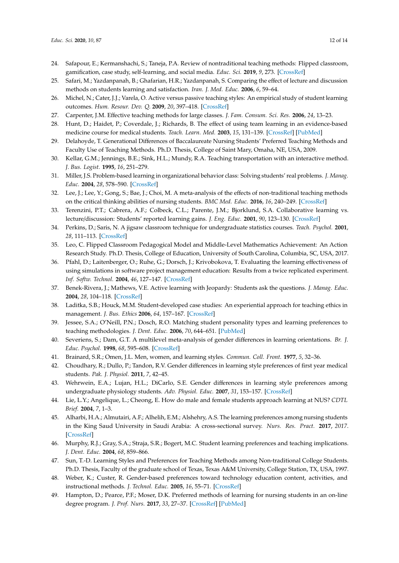- 24. Safapour, E.; Kermanshachi, S.; Taneja, P.A. Review of nontraditional teaching methods: Flipped classroom, gamification, case study, self-learning, and social media. *Educ. Sci.* **2019**, *9*, 273. [\[CrossRef\]](http://dx.doi.org/10.3390/educsci9040273)
- <span id="page-11-0"></span>25. Safari, M.; Yazdanpanah, B.; Ghafarian, H.R.; Yazdanpanah, S. Comparing the effect of lecture and discussion methods on students learning and satisfaction. *Iran. J. Med. Educ.* **2006**, *6*, 59–64.
- <span id="page-11-1"></span>26. Michel, N.; Cater, J.J.; Varela, O. Active versus passive teaching styles: An empirical study of student learning outcomes. *Hum. Resour. Dev. Q.* **2009**, *20*, 397–418. [\[CrossRef\]](http://dx.doi.org/10.1002/hrdq.20025)
- <span id="page-11-3"></span><span id="page-11-2"></span>27. Carpenter, J.M. Effective teaching methods for large classes. *J. Fam. Consum. Sci. Res.* **2006**, *24*, 13–23.
- 28. Hunt, D.; Haidet, P.; Coverdale, J.; Richards, B. The effect of using team learning in an evidence-based medicine course for medical students. *Teach. Learn. Med.* **2003**, *15*, 131–139. [\[CrossRef\]](http://dx.doi.org/10.1207/S15328015TLM1502_11) [\[PubMed\]](http://www.ncbi.nlm.nih.gov/pubmed/12708072)
- <span id="page-11-4"></span>29. Delahoyde, T. Generational Differences of Baccalaureate Nursing Students' Preferred Teaching Methods and Faculty Use of Teaching Methods. Ph.D. Thesis, College of Saint Mary, Omaha, NE, USA, 2009.
- <span id="page-11-5"></span>30. Kellar, G.M.; Jennings, B.E.; Sink, H.L.; Mundy, R.A. Teaching transportation with an interactive method. *J. Bus. Logist.* **1995**, *16*, 251–279.
- <span id="page-11-6"></span>31. Miller, J.S. Problem-based learning in organizational behavior class: Solving students' real problems. *J. Manag. Educ.* **2004**, *28*, 578–590. [\[CrossRef\]](http://dx.doi.org/10.1177/1052562903257937)
- <span id="page-11-7"></span>32. Lee, J.; Lee, Y.; Gong, S.; Bae, J.; Choi, M. A meta-analysis of the effects of non-traditional teaching methods on the critical thinking abilities of nursing students. *BMC Med. Educ.* **2016**, *16*, 240–249. [\[CrossRef\]](http://dx.doi.org/10.1186/s12909-016-0761-7)
- <span id="page-11-8"></span>33. Terenzini, P.T.; Cabrera, A.F.; Colbeck, C.L.; Parente, J.M.; Bjorklund, S.A. Collaborative learning vs. lecture/discussion: Students' reported learning gains. *J. Eng. Educ.* **2001**, *90*, 123–130. [\[CrossRef\]](http://dx.doi.org/10.1002/j.2168-9830.2001.tb00579.x)
- <span id="page-11-9"></span>34. Perkins, D.; Saris, N. A jigsaw classroom technique for undergraduate statistics courses. *Teach. Psychol.* **2001**, *28*, 111–113. [\[CrossRef\]](http://dx.doi.org/10.1207/S15328023TOP2802_09)
- <span id="page-11-10"></span>35. Leo, C. Flipped Classroom Pedagogical Model and Middle-Level Mathematics Achievement: An Action Research Study. Ph.D. Thesis, College of Education, University of South Carolina, Columbia, SC, USA, 2017.
- <span id="page-11-11"></span>36. Pfahl, D.; Laitenberger, O.; Ruhe, G.; Dorsch, J.; Krivobokova, T. Evaluating the learning effectiveness of using simulations in software project management education: Results from a twice replicated experiment. *Inf. Softw. Technol.* **2004**, *46*, 127–147. [\[CrossRef\]](http://dx.doi.org/10.1016/S0950-5849(03)00115-0)
- <span id="page-11-12"></span>37. Benek-Rivera, J.; Mathews, V.E. Active learning with Jeopardy: Students ask the questions. *J. Manag. Educ.* **2004**, *28*, 104–118. [\[CrossRef\]](http://dx.doi.org/10.1177/1052562903252637)
- <span id="page-11-13"></span>38. Laditka, S.B.; Houck, M.M. Student-developed case studies: An experiential approach for teaching ethics in management. *J. Bus. Ethics* **2006**, *64*, 157–167. [\[CrossRef\]](http://dx.doi.org/10.1007/s10551-005-0276-3)
- <span id="page-11-14"></span>39. Jessee, S.A.; O'Neill, P.N.; Dosch, R.O. Matching student personality types and learning preferences to teaching methodologies. *J. Dent. Educ.* **2006**, *70*, 644–651. [\[PubMed\]](http://www.ncbi.nlm.nih.gov/pubmed/16741132)
- <span id="page-11-15"></span>40. Severiens, S.; Dam, G.T. A multilevel meta-analysis of gender differences in learning orientations. *Br. J. Educ. Psychol.* **1998**, *68*, 595–608. [\[CrossRef\]](http://dx.doi.org/10.1111/j.2044-8279.1998.tb01315.x)
- <span id="page-11-16"></span>41. Brainard, S.R.; Omen, J.L. Men, women, and learning styles. *Commun. Coll. Front.* **1977**, *5*, 32–36.
- <span id="page-11-17"></span>42. Choudhary, R.; Dullo, P.; Tandon, R.V. Gender differences in learning style preferences of first year medical students. *Pak. J. Physiol.* **2011**, *7*, 42–45.
- <span id="page-11-18"></span>43. Wehrwein, E.A.; Lujan, H.L.; DiCarlo, S.E. Gender differences in learning style preferences among undergraduate physiology students. *Adv. Physiol. Educ.* **2007**, *31*, 153–157. [\[CrossRef\]](http://dx.doi.org/10.1152/advan.00060.2006)
- <span id="page-11-19"></span>44. Lie, L.Y.; Angelique, L.; Cheong, E. How do male and female students approach learning at NUS? *CDTL Brief.* **2004**, *7*, 1–3.
- <span id="page-11-20"></span>45. Alharbi, H.A.; Almutairi, A.F.; Alhelih, E.M.; Alshehry, A.S. The learning preferences among nursing students in the King Saud University in Saudi Arabia: A cross-sectional survey. *Nurs. Res. Pract.* **2017**, *2017*. [\[CrossRef\]](http://dx.doi.org/10.1155/2017/3090387)
- <span id="page-11-21"></span>46. Murphy, R.J.; Gray, S.A.; Straja, S.R.; Bogert, M.C. Student learning preferences and teaching implications. *J. Dent. Educ.* **2004**, *68*, 859–866.
- <span id="page-11-22"></span>47. Sun, T.-D. Learning Styles and Preferences for Teaching Methods among Non-traditional College Students. Ph.D. Thesis, Faculty of the graduate school of Texas, Texas A&M University, College Station, TX, USA, 1997.
- <span id="page-11-23"></span>48. Weber, K.; Custer, R. Gender-based preferences toward technology education content, activities, and instructional methods. *J. Technol. Educ.* **2005**, *16*, 55–71. [\[CrossRef\]](http://dx.doi.org/10.21061/jte.v16i2.a.4)
- <span id="page-11-24"></span>49. Hampton, D.; Pearce, P.F.; Moser, D.K. Preferred methods of learning for nursing students in an on-line degree program. *J. Prof. Nurs.* **2017**, *33*, 27–37. [\[CrossRef\]](http://dx.doi.org/10.1016/j.profnurs.2016.08.004) [\[PubMed\]](http://www.ncbi.nlm.nih.gov/pubmed/28131145)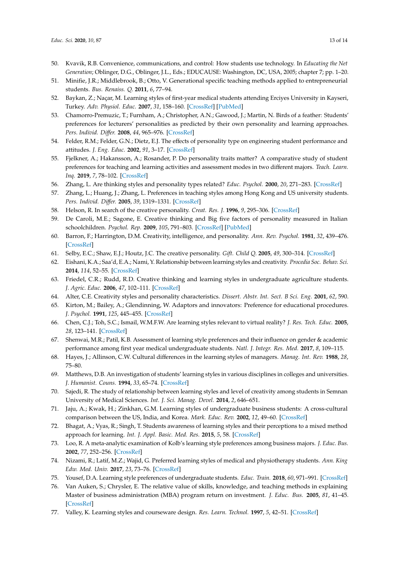- <span id="page-12-0"></span>50. Kvavik, R.B. Convenience, communications, and control: How students use technology. In *Educating the Net Generation*; Oblinger, D.G., Oblinger, J.L., Eds.; EDUCAUSE: Washington, DC, USA, 2005; chapter 7; pp. 1–20.
- <span id="page-12-1"></span>51. Minifie, J.R.; Middlebrook, B.; Otto, V. Generational specific teaching methods applied to entrepreneurial students. *Bus. Renaiss. Q.* **2011**, *6*, 77–94.
- <span id="page-12-2"></span>52. Baykan, Z.; Naçar, M. Learning styles of first-year medical students attending Erciyes University in Kayseri, Turkey. *Adv. Physiol. Educ.* **2007**, *31*, 158–160. [\[CrossRef\]](http://dx.doi.org/10.1152/advan.00043.2006) [\[PubMed\]](http://www.ncbi.nlm.nih.gov/pubmed/17562904)
- <span id="page-12-3"></span>53. Chamorro-Premuzic, T.; Furnham, A.; Christopher, A.N.; Gawood, J.; Martin, N. Birds of a feather: Students' preferences for lecturers' personalities as predicted by their own personality and learning approaches. *Pers. Individ. Di*ff*er.* **2008**, *44*, 965–976. [\[CrossRef\]](http://dx.doi.org/10.1016/j.paid.2007.10.032)
- 54. Felder, R.M.; Felder, G.N.; Dietz, E.J. The effects of personality type on engineering student performance and attitudes. *J. Eng. Educ.* **2002**, *91*, 3–17. [\[CrossRef\]](http://dx.doi.org/10.1002/j.2168-9830.2002.tb00667.x)
- 55. Fjelkner, A.; Hakansson, A.; Rosander, P. Do personality traits matter? A comparative study of student preferences for teaching and learning activities and assessment modes in two different majors. *Teach. Learn. Inq.* **2019**, *7*, 78–102. [\[CrossRef\]](http://dx.doi.org/10.20343/teachlearninqu.7.1.6)
- <span id="page-12-4"></span>56. Zhang, L. Are thinking styles and personality types related? *Educ. Psychol.* **2000**, *20*, 271–283. [\[CrossRef\]](http://dx.doi.org/10.1080/713663742)
- <span id="page-12-5"></span>57. Zhang, L.; Huang, J.; Zhang, L. Preferences in teaching styles among Hong Kong and US university students. *Pers. Individ. Di*ff*er.* **2005**, *39*, 1319–1331. [\[CrossRef\]](http://dx.doi.org/10.1016/j.paid.2005.05.004)
- <span id="page-12-6"></span>58. Helson, R. In search of the creative personality. *Creat. Res. J.* **1996**, *9*, 295–306. [\[CrossRef\]](http://dx.doi.org/10.1207/s15326934crj0904_1)
- <span id="page-12-7"></span>59. De Caroli, M.E.; Sagone, E. Creative thinking and Big five factors of personality measured in Italian schoolchildren. *Psychol. Rep.* **2009**, *105*, 791–803. [\[CrossRef\]](http://dx.doi.org/10.2466/PR0.105.3.791-803) [\[PubMed\]](http://www.ncbi.nlm.nih.gov/pubmed/20099541)
- <span id="page-12-8"></span>60. Barron, F.; Harrington, D.M. Creativity, intelligence, and personality. *Ann. Rev. Psychol.* **1981**, *32*, 439–476. [\[CrossRef\]](http://dx.doi.org/10.1146/annurev.ps.32.020181.002255)
- <span id="page-12-9"></span>61. Selby, E.C.; Shaw, E.J.; Houtz, J.C. The creative personality. *Gift. Child Q.* **2005**, *49*, 300–314. [\[CrossRef\]](http://dx.doi.org/10.1177/001698620504900404)
- <span id="page-12-10"></span>62. Eishani, K.A.; Saa'd, E.A.; Nami, Y. Relationship between learning styles and creativity. *Procedia Soc. Behav. Sci.* **2014**, *114*, 52–55. [\[CrossRef\]](http://dx.doi.org/10.1016/j.sbspro.2013.12.655)
- <span id="page-12-11"></span>63. Friedel, C.R.; Rudd, R.D. Creative thinking and learning styles in undergraduate agriculture students. *J. Agric. Educ.* **2006**, *47*, 102–111. [\[CrossRef\]](http://dx.doi.org/10.5032/jae.2006.04102)
- <span id="page-12-12"></span>64. Alter, C.E. Creativity styles and personality characteristics. *Dissert. Abstr. Int. Sect. B Sci. Eng.* **2001**, *62*, 590.
- <span id="page-12-13"></span>65. Kirton, M.; Bailey, A.; Glendinning, W. Adaptors and innovators: Preference for educational procedures. *J. Psychol.* **1991**, *125*, 445–455. [\[CrossRef\]](http://dx.doi.org/10.1080/00223980.1991.10543307)
- <span id="page-12-14"></span>66. Chen, C.J.; Toh, S.C.; Ismail, W.M.F.W. Are learning styles relevant to virtual reality? *J. Res. Tech. Educ.* **2005**, *28*, 123–141. [\[CrossRef\]](http://dx.doi.org/10.1080/15391523.2005.10782453)
- <span id="page-12-15"></span>67. Shenwai, M.R.; Patil, K.B. Assessment of learning style preferences and their influence on gender & academic performance among first year medical undergraduate students. *Natl. J. Integr. Res. Med.* **2017**, *8*, 109–115.
- <span id="page-12-16"></span>68. Hayes, J.; Allinson, C.W. Cultural differences in the learning styles of managers. *Manag. Int. Rev.* **1988**, *28*, 75–80.
- <span id="page-12-17"></span>69. Matthews, D.B. An investigation of students' learning styles in various disciplines in colleges and universities. *J. Humanist. Couns.* **1994**, *33*, 65–74. [\[CrossRef\]](http://dx.doi.org/10.1002/j.2164-4683.1994.tb00086.x)
- <span id="page-12-18"></span>70. Sajedi, R. The study of relationship between learning styles and level of creativity among students in Semnan University of Medical Sciences. *Int. J. Sci. Manag. Devel.* **2014**, *2*, 646–651.
- <span id="page-12-19"></span>71. Jaju, A.; Kwak, H.; Zinkhan, G.M. Learning styles of undergraduate business students: A cross-cultural comparison between the US, India, and Korea. *Mark. Educ. Rev.* **2002**, *12*, 49–60. [\[CrossRef\]](http://dx.doi.org/10.1080/10528008.2002.11488787)
- <span id="page-12-20"></span>72. Bhagat, A.; Vyas, R.; Singh, T. Students awareness of learning styles and their perceptions to a mixed method approach for learning. *Int. J. Appl. Basic. Med. Res.* **2015**, *5*, 58. [\[CrossRef\]](http://dx.doi.org/10.4103/2229-516X.162281)
- <span id="page-12-21"></span>73. Loo, R. A meta-analytic examination of Kolb's learning style preferences among business majors. *J. Educ. Bus.* **2002**, *77*, 252–256. [\[CrossRef\]](http://dx.doi.org/10.1080/08832320209599673)
- <span id="page-12-22"></span>74. Nizami, R.; Latif, M.Z.; Wajid, G. Preferred learning styles of medical and physiotherapy students. *Ann. King Edw. Med. Univ.* **2017**, *23*, 73–76. [\[CrossRef\]](http://dx.doi.org/10.21649/akemu.v23i1.1511)
- <span id="page-12-23"></span>75. Yousef, D.A. Learning style preferences of undergraduate students. *Educ. Train.* **2018**, *60*, 971–991. [\[CrossRef\]](http://dx.doi.org/10.1108/ET-08-2017-0126)
- <span id="page-12-24"></span>76. Van Auken, S.; Chrysler, E. The relative value of skills, knowledge, and teaching methods in explaining Master of business administration (MBA) program return on investment. *J. Educ. Bus.* **2005**, *81*, 41–45. [\[CrossRef\]](http://dx.doi.org/10.3200/JOEB.81.1.41-46)
- <span id="page-12-25"></span>77. Valley, K. Learning styles and courseware design. *Res. Learn. Technol.* **1997**, *5*, 42–51. [\[CrossRef\]](http://dx.doi.org/10.3402/rlt.v5i2.10561)